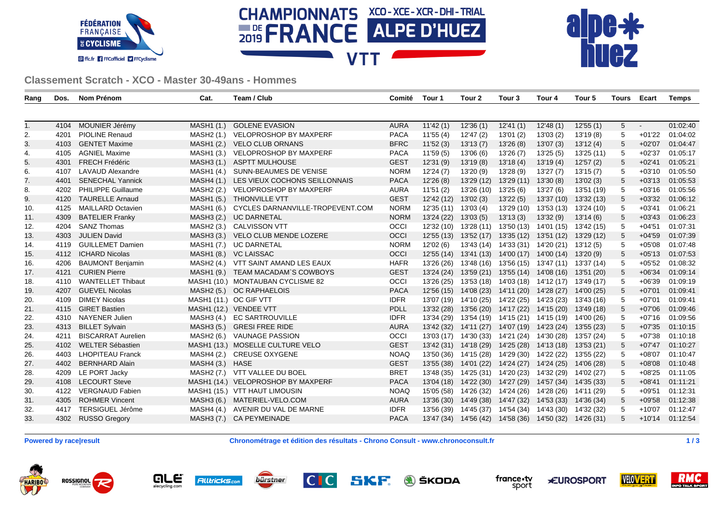





**Classement Scratch - XCO - Master 30-49ans - Hommes**

| Rang | Dos. | Nom Prénom                | Cat.                   | Team / Club                        | Comité      | Tour 1     | Tour 2                                                 | Tour <sub>3</sub>                | Tour 4                                      | Tour 5     | Tours           | Ecart    | <b>Temps</b> |
|------|------|---------------------------|------------------------|------------------------------------|-------------|------------|--------------------------------------------------------|----------------------------------|---------------------------------------------|------------|-----------------|----------|--------------|
|      |      |                           |                        |                                    |             |            |                                                        |                                  |                                             |            |                 |          |              |
| 1.   | 4104 | MOUNIER Jérémy            | MASH1 (1.)             | <b>GOLENE EVASION</b>              | <b>AURA</b> | 11'42(1)   | 12'36(1)                                               | 12'41(1)                         | 12'48(1)                                    | 12'55(1)   | $5\overline{)}$ |          | 01:02:40     |
| 2.   | 4201 | <b>PIOLINE Renaud</b>     | MASH <sub>2</sub> (1.) | <b>VELOPROSHOP BY MAXPERF</b>      | <b>PACA</b> | 11'55 (4)  | 12'47 (2)                                              | 13'01(2)                         | 13'03(2)                                    | 13'19 (8)  | 5               | $+01'22$ | 01:04:02     |
| 3.   | 4103 | <b>GENTET Maxime</b>      | <b>MASH1 (2.)</b>      | <b>VELO CLUB ORNANS</b>            | <b>BFRC</b> | 11'52(3)   | 13'13(7)                                               | 13'26(8)                         | 13'07(3)                                    | 13'12(4)   | 5               | $+02'07$ | 01:04:47     |
| 4.   | 4105 | <b>AGNIEL Maxime</b>      | MASH1 (3.)             | <b>VELOPROSHOP BY MAXPERF</b>      | <b>PACA</b> | 11'59(5)   | 13'06 (6)                                              | 13'26 (7)                        | 13'25(5)                                    | 13'25 (11) | 5               | $+02'37$ | 01:05:17     |
| 5.   | 4301 | <b>FRECH Frédéric</b>     | MASH3 (1.)             | <b>ASPTT MULHOUSE</b>              | <b>GEST</b> | 12'31(9)   | 13'19(8)                                               | 13'18(4)                         | 13'19(4)                                    | 12'57(2)   | 5               | $+02'41$ | 01:05:21     |
| 6.   | 4107 | <b>LAVAUD Alexandre</b>   | MASH1 (4.)             | SUNN-BEAUMES DE VENISE             | <b>NORM</b> | 12'24(7)   | 13'20(9)                                               | 13'28(9)                         | 13'27(7)                                    | 13'15(7)   | 5               | $+03'10$ | 01:05:50     |
| 7.   | 4401 | <b>SENECHAL Yannick</b>   | MASH4 (1.)             | LES VIEUX COCHONS SEILLONNAIS      | <b>PACA</b> | 12'26(8)   | 13'29 (12)                                             | 13'29 (11)                       | 13'30(8)                                    | 13'02(3)   | 5               | $+03'13$ | 01:05:53     |
| 8.   | 4202 | PHILIPPE Guillaume        | MASH2 (2.)             | VELOPROSHOP BY MAXPERF             | <b>AURA</b> | 11'51(2)   | 13'26 (10)                                             | 13'25 (6)                        | 13'27 (6)                                   | 13'51 (19) | 5               | $+03'16$ | 01:05:56     |
| 9.   | 4120 | <b>TAURELLE Arnaud</b>    | MASH1 (5.)             | <b>THIONVILLE VTT</b>              | <b>GEST</b> | 12'42 (12) | 13'02(3)                                               | 13'22(5)                         | 13'37 (10)                                  | 13'32 (13) | 5               | $+03'32$ | 01:06:12     |
| 10.  | 4125 | <b>MAILLARD Octavien</b>  | MASH1 (6.)             | CYCLES DARNANVILLE-TROPEVENT.COM   | <b>NORM</b> | 12'35 (11) | 13'03(4)                                               | 13'29 (10)                       | 13'53 (13)                                  | 13'24 (10) | 5               | $+03'41$ | 01:06:21     |
| 11.  | 4309 | <b>BATELIER Franky</b>    | MASH3 (2.)             | <b>UC DARNETAL</b>                 | <b>NORM</b> | 13'24 (22) | 13'03(5)                                               | 13'13(3)                         | 13'32(9)                                    | 13'14(6)   | 5               | $+03'43$ | 01:06:23     |
| 12.  | 4204 | <b>SANZ Thomas</b>        | MASH2 (3.)             | CALVISSON VTT                      | OCCI        | 12'32 (10) |                                                        | 13'28 (11) 13'50 (13) 14'01 (15) |                                             | 13'42 (15) | 5               | $+04'51$ | 01:07:31     |
| 13.  | 4303 | <b>JULIEN David</b>       | MASH3 (3.)             | VELO CLUB MENDE LOZERE             | OCCI        | 12'55(13)  |                                                        | 13'52 (17) 13'35 (12) 13'51 (12) |                                             | 13'29 (12) | $5\phantom{.0}$ | $+04'59$ | 01:07:39     |
| 14.  | 4119 | <b>GUILLEMET Damien</b>   | MASH1 (7.)             | <b>UC DARNETAL</b>                 | <b>NORM</b> | 12'02(6)   |                                                        | 13'43 (14) 14'33 (31) 14'20 (21) |                                             | 13'12 (5)  | 5               | $+05'08$ | 01:07:48     |
| 15.  | 4112 | <b>ICHARD Nicolas</b>     | <b>MASH1 (8.)</b>      | <b>VC LAISSAC</b>                  | <b>OCCI</b> | 12'55 (14) |                                                        |                                  | 13'41 (13) 14'00 (17) 14'00 (14) 13'20 (9)  |            | $5\phantom{.0}$ | $+05'13$ | 01:07:53     |
| 16.  | 4206 | <b>BAUMONT Benjamin</b>   | MASH2 (4.)             | VTT SAINT AMAND LES EAUX           | <b>HAFR</b> | 13'26 (26) |                                                        |                                  | 13'48 (16) 13'56 (15) 13'47 (11) 13'37 (14) |            | 5               | $+05'52$ | 01:08:32     |
| 17.  | 4121 | <b>CURIEN Pierre</b>      |                        | MASH1 (9.) TEAM MACADAM'S COWBOYS  | <b>GEST</b> | 13'24 (24) |                                                        | 13'59 (21) 13'55 (14) 14'08 (16) |                                             | 13'51 (20) | 5               | $+06'34$ | 01:09:14     |
| 18.  | 4110 | <b>WANTELLET Thibaut</b>  |                        | MASH1 (10.) MONTAUBAN CYCLISME 82  | <b>OCCI</b> | 13'26 (25) |                                                        |                                  | 13'53 (18) 14'03 (18) 14'12 (17)            | 13'49 (17) | 5               | $+06'39$ | 01:09:19     |
| 19.  | 4207 | <b>GUEVEL Nicolas</b>     |                        | MASH2 (5.) OC RAPHAELOIS           | <b>PACA</b> | 12'56 (15) |                                                        | 14'08 (23) 14'11 (20) 14'28 (27) |                                             | 14'00 (25) | 5               | $+07'01$ | 01:09:41     |
| 20.  | 4109 | <b>DIMEY Nicolas</b>      |                        | MASH1 (11.) OC GIF VTT             | <b>IDFR</b> | 13'07 (19) |                                                        | 14'10 (25) 14'22 (25) 14'23 (23) |                                             | 13'43 (16) | 5               | $+07'01$ | 01:09:41     |
| 21.  | 4115 | <b>GIRET Bastien</b>      |                        | MASH1 (12.) VENDEE VTT             | <b>PDLL</b> | 13'32 (28) |                                                        | 13'56 (20) 14'17 (22) 14'15 (20) |                                             | 13'49 (18) | 5               | $+07'06$ | 01:09:46     |
| 22.  | 4310 | <b>NAYENER Julien</b>     | MASH3 (4.)             | <b>EC SARTROUVILLE</b>             | <b>IDFR</b> | 13'34 (29) |                                                        | 13'54 (19) 14'15 (21) 14'15 (19) |                                             | 14'00 (26) | 5               | $+07'16$ | 01:09:56     |
| 23.  | 4313 | <b>BILLET Sylvain</b>     | MASH3 (5.)             | <b>GRESI FREE RIDE</b>             | <b>AURA</b> | 13'42 (32) |                                                        | 14'11 (27) 14'07 (19) 14'23 (24) |                                             | 13'55 (23) | $5\phantom{.0}$ | $+07'35$ | 01:10:15     |
| 24.  | 4211 | <b>BISCARRAT Aurelien</b> | MASH2 (6.)             | <b>VAUNAGE PASSION</b>             | <b>OCCI</b> | 13'03 (17) |                                                        | 14'30 (33) 14'21 (24) 14'30 (28) |                                             | 13'57 (24) | 5               | $+07'38$ | 01:10:18     |
| 25.  | 4102 | WELTER Sébastien          |                        | MASH1 (13.) MOSELLE CULTURE VELO   | <b>GEST</b> | 13'42 (31) |                                                        |                                  | 14'18 (29) 14'25 (28) 14'13 (18)            | 13'53 (21) | $5\phantom{.0}$ | $+07'47$ | 01:10:27     |
| 26.  | 4403 | <b>LHOPITEAU Franck</b>   | MASH4 (2.)             | <b>CREUSE OXYGENE</b>              | <b>NOAQ</b> | 13'50 (36) |                                                        | 14'15 (28) 14'29 (30) 14'22 (22) |                                             | 13'55 (22) | 5               | $+08'07$ | 01:10:47     |
| 27.  | 4402 | <b>BERNHARD Alain</b>     | MASH4 (3.)             | <b>HASE</b>                        | <b>GEST</b> | 13'55 (38) |                                                        | 14'01 (22) 14'24 (27) 14'24 (25) |                                             | 14'06 (28) | $5\phantom{.0}$ | $+08'08$ | 01:10:48     |
| 28.  | 4209 | LE PORT Jacky             | MASH2 (7.)             | VTT VALLEE DU BOEL                 | <b>BRET</b> | 13'48 (35) |                                                        | 14'25 (31) 14'20 (23) 14'32 (29) |                                             | 14'02 (27) | 5               | $+08'25$ | 01:11:05     |
| 29.  | 4108 | <b>LECOURT Steve</b>      |                        | MASH1 (14.) VELOPROSHOP BY MAXPERF | <b>PACA</b> | 13'04 (18) |                                                        | 14'22 (30) 14'27 (29) 14'57 (34) |                                             | 14'35 (33) | $5\phantom{.0}$ | $+08'41$ | 01:11:21     |
| 30.  | 4122 | <b>VERGNAUD Fabien</b>    |                        | MASH1 (15.) VTT HAUT LIMOUSIN      | <b>NOAQ</b> | 15'05 (58) |                                                        | 14'26 (32) 14'24 (26) 14'28 (26) |                                             | 14'11 (29) | 5               | $+09'51$ | 01:12:31     |
| 31.  | 4305 | <b>ROHMER Vincent</b>     | MASH3 (6.)             | MATERIEL-VELO.COM                  | <b>AURA</b> | 13'36 (30) |                                                        | 14'49 (38) 14'47 (32) 14'53 (33) |                                             | 14'36 (34) | 5               | $+09'58$ | 01:12:38     |
| 32.  | 4417 | TERSIGUEL Jérôme          | MASH4 (4.)             | AVENIR DU VAL DE MARNE             | <b>IDFR</b> | 13'56 (39) |                                                        |                                  | 14'45 (37) 14'54 (34) 14'43 (30) 14'32 (32) |            | 5               | $+10'07$ | 01:12:47     |
| 33.  | 4302 | <b>RUSSO Gregory</b>      | <b>MASH3 (7.)</b>      | <b>CA PEYMEINADE</b>               | <b>PACA</b> |            | 13'47 (34) 14'56 (42) 14'58 (36) 14'50 (32) 14'26 (31) |                                  |                                             |            | 5               | $+10'14$ | 01:12:54     |
|      |      |                           |                        |                                    |             |            |                                                        |                                  |                                             |            |                 |          |              |

**Powered by race|result Chronométrage et édition des résultats - Chrono Consult - www.chronoconsult.fr 1 / 3**

ROSSIGNOL HARIBO









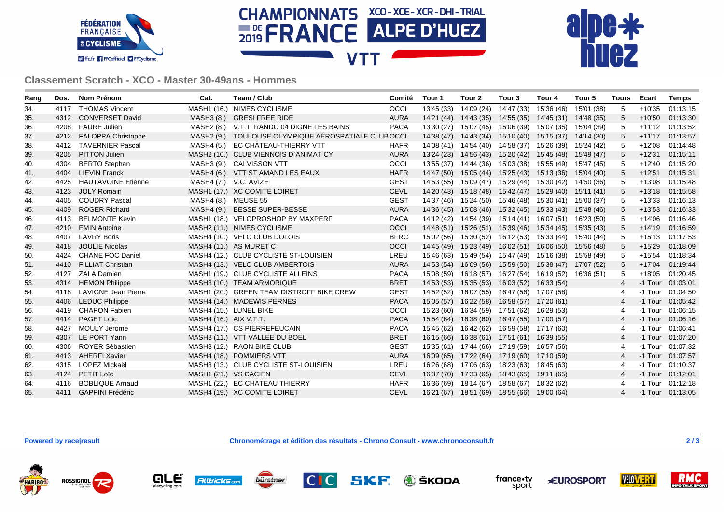





**Classement Scratch - XCO - Master 30-49ans - Hommes**

| Rang | Dos. | <b>Nom Prénom</b>          | Cat.                   | Team / Club                                         | Comité      | Tour 1     | Tour <sub>2</sub> | Tour 3                           | Tour 4                                      | Tour 5     | Tours          | Ecart    | <b>Temps</b>       |
|------|------|----------------------------|------------------------|-----------------------------------------------------|-------------|------------|-------------------|----------------------------------|---------------------------------------------|------------|----------------|----------|--------------------|
| 34.  | 4117 | <b>THOMAS Vincent</b>      |                        | MASH1 (16.) NIMES CYCLISME                          | OCCI        | 13'45 (33) | 14'09 (24)        | 14'47 (33)                       | 15'36 (46)                                  | 15'01 (38) | 5              | $+10'35$ | 01:13:15           |
| 35.  |      | 4312 CONVERSET David       | MASH3 (8.)             | <b>GRESI FREE RIDE</b>                              | AURA        | 14'21 (44) | 14'43 (35)        | 14'55 (35)                       | 14'45 (31)                                  | 14'48 (35) | 5              | $+10'50$ | 01:13:30           |
| 36.  | 4208 | <b>FAURE Julien</b>        |                        | MASH2 (8.) V.T.T. RANDO 04 DIGNE LES BAINS          | <b>PACA</b> | 13'30 (27) | 15'07 (45)        | 15'06 (39) 15'07 (35)            |                                             | 15'04 (39) | 5              | $+11'12$ | 01:13:52           |
| 37.  | 4212 | <b>FALOPPA Christophe</b>  |                        | MASH2 (9.) TOULOUSE OLYMPIQUE AÉROSPATIALE CLUBOCCI |             | 14'38 (47) | 14'43 (34)        |                                  | 15'10 (40) 15'15 (37) 14'14 (30)            |            | 5              | $+11'17$ | 01:13:57           |
| 38.  | 4412 | <b>TAVERNIER Pascal</b>    |                        | MASH4 (5.) EC CHÂTEAU-THIERRY VTT                   | <b>HAFR</b> | 14'08 (41) |                   | 14'54 (40) 14'58 (37) 15'26 (39) |                                             | 15'24 (42) | 5              | $+12'08$ | 01:14:48           |
| 39.  | 4205 | <b>PITTON Julien</b>       |                        | MASH2 (10.) CLUB VIENNOIS D'ANIMAT CY               | <b>AURA</b> | 13'24 (23) |                   | 14'56 (43) 15'20 (42) 15'45 (48) |                                             | 15'49 (47) | 5              | $+12'31$ | 01:15:11           |
| 40.  | 4304 | <b>BERTO Stephan</b>       |                        | MASH3 (9.) CALVISSON VTT                            | <b>OCCI</b> | 13'55 (37) |                   | 14'44 (36) 15'03 (38) 15'55 (49) |                                             | 15'47 (45) | 5              | $+12'40$ | 01:15:20           |
| 41.  | 4404 | <b>LIEVIN Franck</b>       |                        | MASH4 (6.) VTT ST AMAND LES EAUX                    | <b>HAFR</b> | 14'47 (50) |                   |                                  | 15'05 (44) 15'25 (43) 15'13 (36) 15'04 (40) |            | $5^{\circ}$    | $+12'51$ | 01:15:31           |
| 42.  | 4425 | <b>HAUTAVOINE Etienne</b>  | MASH4 (7.) V.C. AVIZE  |                                                     | <b>GEST</b> | 14'53 (55) |                   | 15'09 (47) 15'29 (44) 15'30 (42) |                                             | 14'50 (36) | 5              | $+13'08$ | 01:15:48           |
| 43.  | 4123 | <b>JOLY Romain</b>         |                        | MASH1 (17.) XC COMITE LOIRET                        | <b>CEVL</b> | 14'20 (43) | 15'18 (48)        | 15'42 (47) 15'29 (40)            |                                             | 15'11 (41) | 5              | $+13'18$ | 01:15:58           |
| 44.  | 4405 | <b>COUDRY Pascal</b>       | MASH4 (8.) MEUSE 55    |                                                     | <b>GEST</b> | 14'37 (46) | 15'24 (50)        | 15'46 (48) 15'30 (41)            |                                             | 15'00 (37) | 5              | $+13'33$ | 01:16:13           |
| 45.  | 4409 | <b>ROGER Richard</b>       | MASH4 (9.)             | <b>BESSE SUPER-BESSE</b>                            | <b>AURA</b> | 14'36 (45) |                   | 15'08 (46) 15'32 (45) 15'33 (43) |                                             | 15'48 (46) | 5              | $+13'53$ | 01:16:33           |
| 46.  | 4113 | <b>BELMONTE Kevin</b>      |                        | MASH1 (18.) VELOPROSHOP BY MAXPERF                  | <b>PACA</b> | 14'12 (42) |                   | 14'54 (39) 15'14 (41) 16'07 (51) |                                             | 16'23 (50) | 5              | $+14'06$ | 01:16:46           |
| 47.  | 4210 | <b>EMIN Antoine</b>        |                        | MASH2 (11.) NIMES CYCLISME                          | <b>OCCI</b> | 14'48 (51) |                   | 15'26 (51) 15'39 (46) 15'34 (45) |                                             | 15'35 (43) | 5              | $+14'19$ | 01:16:59           |
| 48.  | 4407 | <b>LAVRY Boris</b>         |                        | MASH4 (10.) VELO CLUB DOLOIS                        | <b>BFRC</b> | 15'02 (56) |                   | 15'30 (52) 16'12 (53) 15'33 (44) |                                             | 15'40 (44) | 5              | $+15'13$ | 01:17:53           |
| 49.  | 4418 | <b>JOULIE Nicolas</b>      |                        | MASH4 (11.) AS MURET C                              | <b>OCCI</b> | 14'45 (49) |                   | 15'23 (49) 16'02 (51) 16'06 (50) |                                             | 15'56 (48) | 5              | $+15'29$ | 01:18:09           |
| 50.  | 4424 | <b>CHANE FOC Daniel</b>    |                        | MASH4 (12.) CLUB CYCLISTE ST-LOUISIEN               | LREU        | 15'46 (63) |                   | 15'49 (54) 15'47 (49) 15'16 (38) |                                             | 15'58 (49) | 5              | $+15'54$ | 01:18:34           |
| 51.  | 4410 | <b>FILLIAT Christian</b>   |                        | MASH4 (13.) VELO CLUB AMBERTOIS                     | <b>AURA</b> | 14'53 (54) | 16'09 (56)        | 15'59 (50) 15'38 (47)            |                                             | 17'07 (52) | 5              | $+17'04$ | 01:19:44           |
| 52.  | 4127 | <b>ZALA Damien</b>         |                        | MASH1 (19.) CLUB CYCLISTE ALLEINS                   | <b>PACA</b> | 15'08 (59) | 16'18 (57)        | 16'27 (54) 16'19 (52)            |                                             | 16'36 (51) | 5              | $+18'05$ | 01:20:45           |
| 53.  | 4314 | <b>HEMON Philippe</b>      |                        | MASH3 (10.) TEAM ARMORIQUE                          | <b>BRET</b> | 14'53 (53) |                   | 15'35 (53) 16'03 (52) 16'33 (54) |                                             |            | $\overline{4}$ | -1 Tour  | 01:03:01           |
| 54.  | 4118 | <b>LAVIGNE Jean Pierre</b> |                        | MASH1 (20.) GREEN TEAM DISTROFF BIKE CREW           | <b>GEST</b> | 14'52 (52) |                   | 16'07 (55) 16'47 (56) 17'07 (58) |                                             |            | 4              |          | -1 Tour 01:04:50   |
| 55.  | 4406 | <b>LEDUC Philippe</b>      |                        | MASH4 (14.) MADEWIS PERNES                          | <b>PACA</b> | 15'05 (57) | 16'22 (58)        | 16'58 (57) 17'20 (61)            |                                             |            | 4              |          | -1 Tour 01:05:42   |
| 56.  |      | 4419 CHAPON Fabien         |                        | MASH4 (15.) LUNEL BIKE                              | <b>OCCI</b> | 15'23 (60) |                   | 16'34 (59) 17'51 (62) 16'29 (53) |                                             |            | 4              |          | -1 Tour 01:06:15   |
| 57.  | 4414 | <b>PAGET Loic</b>          | MASH4 (16.) AIX V.T.T. |                                                     | <b>PACA</b> | 15'54 (64) |                   | 16'38 (60) 16'47 (55) 17'00 (57) |                                             |            | $\overline{4}$ |          | $-1$ Tour 01:06:16 |
| 58.  | 4427 | <b>MOULY Jerome</b>        |                        | MASH4 (17.) CS PIERREFEUCAIN                        | <b>PACA</b> | 15'45 (62) | 16'42 (62)        | 16'59 (58) 17'17 (60)            |                                             |            | 4              |          | -1 Tour 01:06:41   |
| 59.  | 4307 | LE PORT Yann               |                        | MASH3 (11.) VTT VALLEE DU BOEL                      | <b>BRET</b> | 16'15 (66) |                   | 16'38 (61) 17'51 (61) 16'39 (55) |                                             |            | 4              | -1 Tour  | 01:07:20           |
| 60.  | 4306 | ROYER Sébastien            |                        | MASH3 (12.) RAON BIKE CLUB                          | <b>GEST</b> | 15'35 (61) |                   | 17'44 (66) 17'19 (59) 16'57 (56) |                                             |            | 4              |          | -1 Tour 01:07:32   |
| 61.  | 4413 | <b>AHERFI Xavier</b>       |                        | MASH4 (18.) POMMIERS VTT                            | AURA        | 16'09 (65) |                   | 17'22 (64) 17'19 (60) 17'10 (59) |                                             |            | 4              | -1 Tour  | 01:07:57           |
| 62.  |      | 4315 LOPEZ Mickaël         |                        | MASH3 (13.) CLUB CYCLISTE ST-LOUISIEN               | LREU        | 16'26 (68) | 17'06 (63)        | 18'23 (63) 18'45 (63)            |                                             |            | 4              |          | -1 Tour 01:10:37   |
| 63.  |      | 4124 PETIT Loïc            | MASH1 (21.) VS CACIEN  |                                                     | <b>CEVL</b> | 16'37 (70) | 17'33 (65)        | 18'43 (65)                       | 19'11 (65)                                  |            | 4              |          | -1 Tour 01:12:01   |
| 64.  | 4116 | <b>BOBLIQUE Arnaud</b>     |                        | MASH1 (22.) EC CHATEAU THIERRY                      | <b>HAFR</b> | 16'36 (69) | 18'14 (67)        | 18'58 (67) 18'32 (62)            |                                             |            | 4              |          | $-1$ Tour 01:12:18 |
| 65.  | 4411 | <b>GAPPINI Frédéric</b>    |                        | MASH4 (19.) XC COMITE LOIRET                        | <b>CEVL</b> | 16'21 (67) |                   | 18'51 (69) 18'55 (66) 19'00 (64) |                                             |            | 4              |          | $-1$ Tour 01:13:05 |

**Powered by race|result Chronométrage et édition des résultats - Chrono Consult - www.chronoconsult.fr 2 / 3**